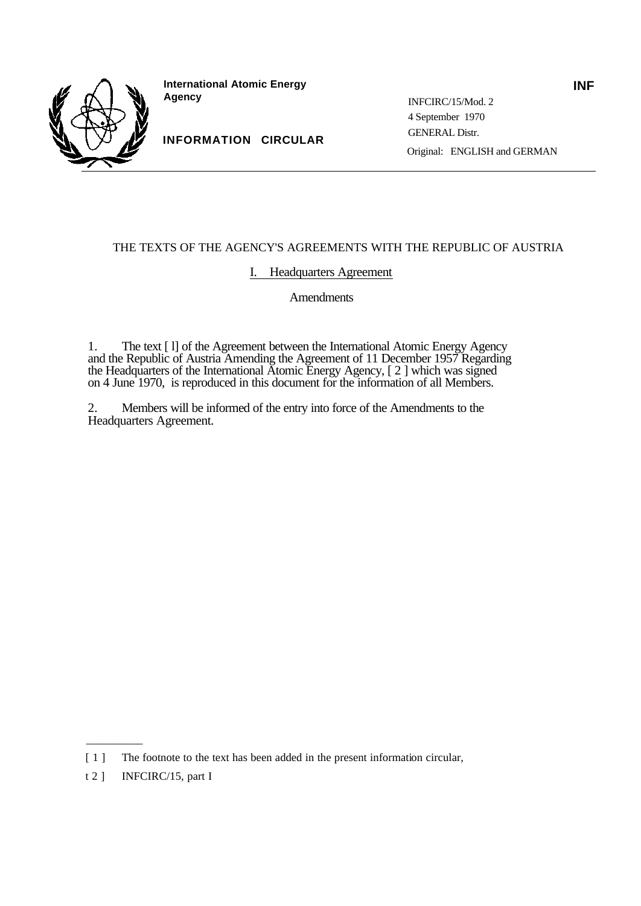

**International Atomic Energy Agency**

**INFORMATION CIRCULAR**

INFCIRC/15/Mod. 2 4 September 1970 GENERAL Distr. Original: ENGLISH and GERMAN

# THE TEXTS OF THE AGENCY'S AGREEMENTS WITH THE REPUBLIC OF AUSTRIA

# I. Headquarters Agreement

Amendments

1. The text [ l] of the Agreement between the International Atomic Energy Agency and the Republic of Austria Amending the Agreement of 11 December 1957 Regarding the Headquarters of the International Atomic Energy Agency, [ 2 ] which was signed on 4 June 1970, is reproduced in this document for the information of all Members.

2. Members will be informed of the entry into force of the Amendments to the Headquarters Agreement.

\_\_\_\_\_\_\_\_\_\_

**INF**

<sup>[1]</sup> The footnote to the text has been added in the present information circular,

t 2 ] **INFCIRC/15**, part I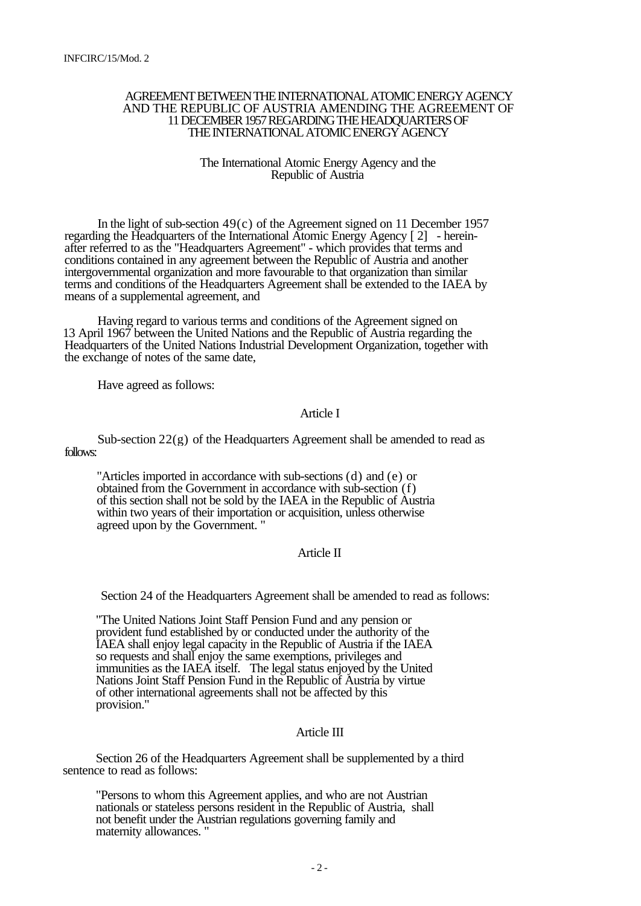#### AGREEMENT BETWEEN THE INTERNATIONAL ATOMIC ENERGY AGENCY AND THE REPUBLIC OF AUSTRIA AMENDING THE AGREEMENT OF 11 DECEMBER 1957 REGARDING THE HEADQUARTERS OF THE INTERNATIONAL ATOMIC ENERGY AGENCY

#### The International Atomic Energy Agency and the Republic of Austria

In the light of sub-section  $49(c)$  of the Agreement signed on 11 December 1957 regarding the Headquarters of the International Atomic Energy Agency [ 2] - hereinafter referred to as the "Headquarters Agreement" - which provides that terms and conditions contained in any agreement between the Republic of Austria and another intergovernmental organization and more favourable to that organization than similar terms and conditions of the Headquarters Agreement shall be extended to the IAEA by means of a supplemental agreement, and

Having regard to various terms and conditions of the Agreement signed on 13 April 1967 between the United Nations and the Republic of Austria regarding the Headquarters of the United Nations Industrial Development Organization, together with the exchange of notes of the same date,

Have agreed as follows:

### Article I

Sub-section  $22(g)$  of the Headquarters Agreement shall be amended to read as follows:

"Articles imported in accordance with sub-sections (d) and (e) or obtained from the Government in accordance with sub-section (f) of this section shall not be sold by the IAEA in the Republic of Austria within two years of their importation or acquisition, unless otherwise agreed upon by the Government. "

# Article II

Section 24 of the Headquarters Agreement shall be amended to read as follows:

"The United Nations Joint Staff Pension Fund and any pension or provident fund established by or conducted under the authority of the IAEA shall enjoy legal capacity in the Republic of Austria if the IAEA so requests and shall enjoy the same exemptions, privileges and immunities as the IAEA itself. The legal status enjoyed by the United Nations Joint Staff Pension Fund in the Republic of Austria by virtue of other international agreements shall not be affected by this provision."

# Article III

Section 26 of the Headquarters Agreement shall be supplemented by a third sentence to read as follows:

"Persons to whom this Agreement applies, and who are not Austrian nationals or stateless persons resident in the Republic of Austria, shall not benefit under the Austrian regulations governing family and maternity allowances. "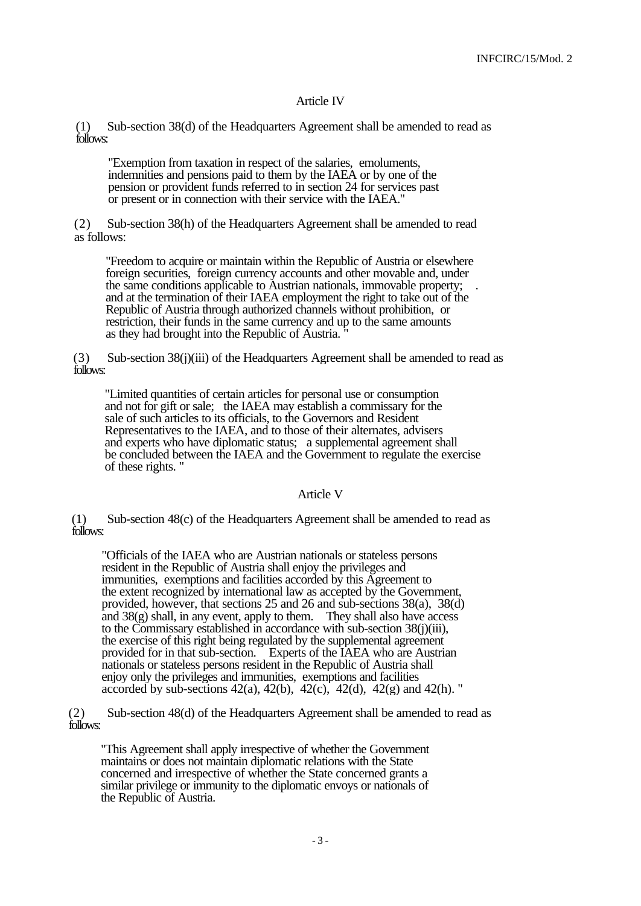# Article IV

(1) Sub-section 38(d) of the Headquarters Agreement shall be amended to read as follows:

"Exemption from taxation in respect of the salaries, emoluments, indemnities and pensions paid to them by the IAEA or by one of the pension or provident funds referred to in section 24 for services past or present or in connection with their service with the IAEA.

(2) Sub-section 38(h) of the Headquarters Agreement shall be amended to read as follows:

"Freedom to acquire or maintain within the Republic of Austria or elsewhere foreign securities, foreign currency accounts and other movable and, under the same conditions applicable to Austrian nationals, immovable property; . and at the termination of their IAEA employment the right to take out of the Republic of Austria through authorized channels without prohibition, or restriction, their funds in the same currency and up to the same amounts as they had brought into the Republic of Austria.

(3) Sub-section 38(j)(iii) of the Headquarters Agreement shall be amended to read as follows:

"Limited quantities of certain articles for personal use or consumption and not for gift or sale; the IAEA may establish a commissary for the sale of such articles to its officials, to the Governors and Resident Representatives to the IAEA, and to those of their alternates, advisers and experts who have diplomatic status; a supplemental agreement shall be concluded between the IAEA and the Government to regulate the exercise of these rights. "

Article V

(1) Sub-section 48(c) of the Headquarters Agreement shall be amended to read as follows:

"Officials of the IAEA who are Austrian nationals or stateless persons resident in the Republic of Austria shall enjoy the privileges and immunities, exemptions and facilities accorded by this Agreement to the extent recognized by international law as accepted by the Government, provided, however, that sections 25 and 26 and sub-sections 38(a), 38(d) and 38(g) shall, in any event, apply to them. They shall also have access to the Commissary established in accordance with sub-section  $38(i)(iii)$ , the exercise of this right being regulated by the supplemental agreement provided for in that sub-section. Experts of the IAEA who are Austrian nationals or stateless persons resident in the Republic of Austria shall enjoy only the privileges and immunities, exemptions and facilities accorded by sub-sections  $42(a)$ ,  $42(b)$ ,  $42(c)$ ,  $42(d)$ ,  $42(g)$  and  $42(h)$ . "

(2) Sub-section 48(d) of the Headquarters Agreement shall be amended to read as follows:

"This Agreement shall apply irrespective of whether the Government maintains or does not maintain diplomatic relations with the State concerned and irrespective of whether the State concerned grants a similar privilege or immunity to the diplomatic envoys or nationals of the Republic of Austria.